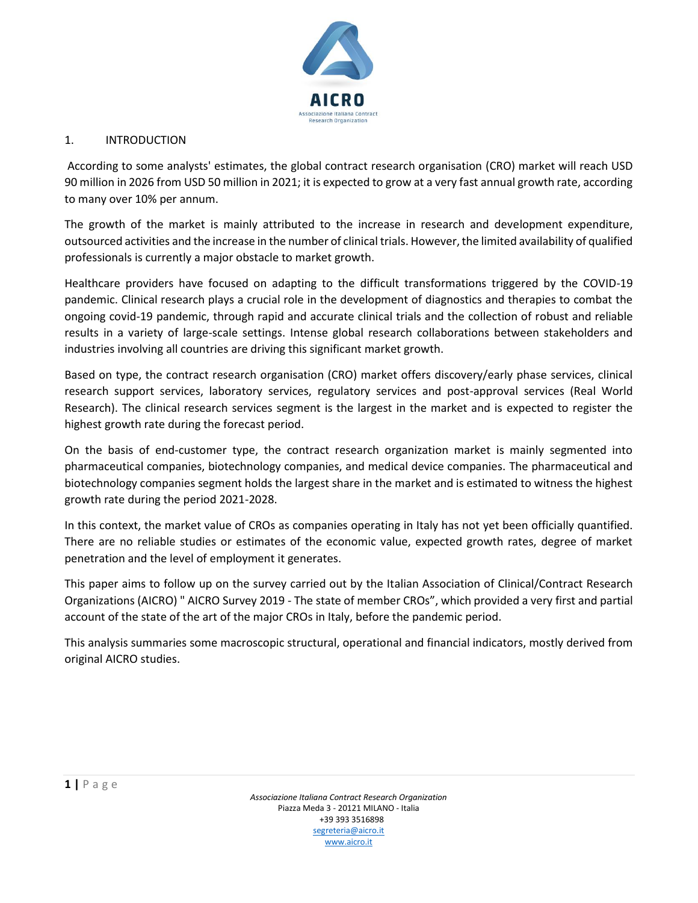

#### 1. INTRODUCTION

According to some analysts' estimates, the global contract research organisation (CRO) market will reach USD 90 million in 2026 from USD 50 million in 2021; it is expected to grow at a very fast annual growth rate, according to many over 10% per annum.

The growth of the market is mainly attributed to the increase in research and development expenditure, outsourced activities and the increase in the number of clinical trials. However, the limited availability of qualified professionals is currently a major obstacle to market growth.

Healthcare providers have focused on adapting to the difficult transformations triggered by the COVID-19 pandemic. Clinical research plays a crucial role in the development of diagnostics and therapies to combat the ongoing covid-19 pandemic, through rapid and accurate clinical trials and the collection of robust and reliable results in a variety of large-scale settings. Intense global research collaborations between stakeholders and industries involving all countries are driving this significant market growth.

Based on type, the contract research organisation (CRO) market offers discovery/early phase services, clinical research support services, laboratory services, regulatory services and post-approval services (Real World Research). The clinical research services segment is the largest in the market and is expected to register the highest growth rate during the forecast period.

On the basis of end-customer type, the contract research organization market is mainly segmented into pharmaceutical companies, biotechnology companies, and medical device companies. The pharmaceutical and biotechnology companies segment holds the largest share in the market and is estimated to witness the highest growth rate during the period 2021-2028.

In this context, the market value of CROs as companies operating in Italy has not yet been officially quantified. There are no reliable studies or estimates of the economic value, expected growth rates, degree of market penetration and the level of employment it generates.

This paper aims to follow up on the survey carried out by the Italian Association of Clinical/Contract Research Organizations (AICRO) " AICRO Survey 2019 - The state of member CROs", which provided a very first and partial account of the state of the art of the major CROs in Italy, before the pandemic period.

This analysis summaries some macroscopic structural, operational and financial indicators, mostly derived from original AICRO studies.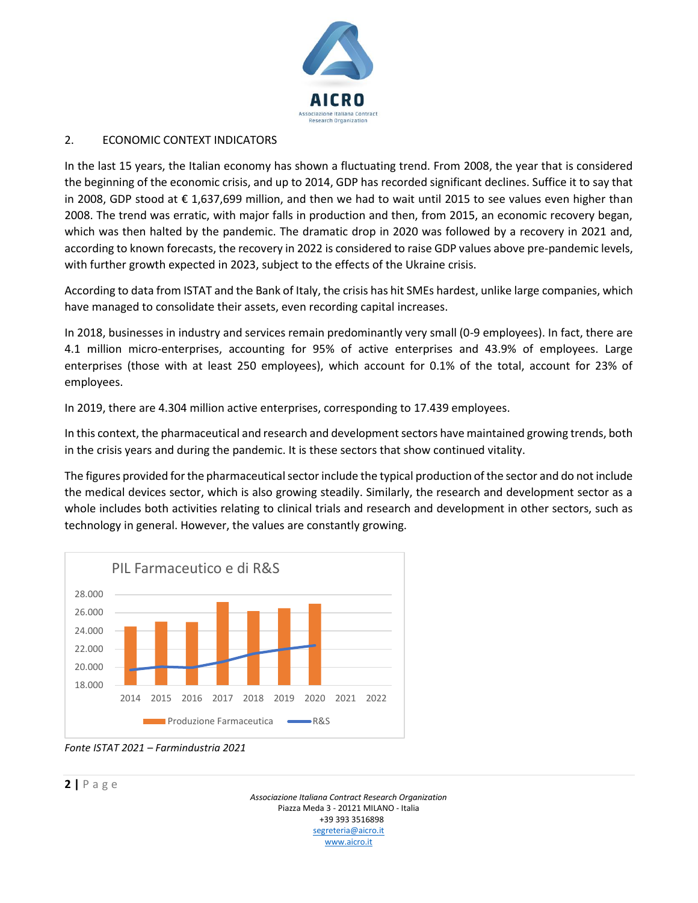

#### 2. ECONOMIC CONTEXT INDICATORS

In the last 15 years, the Italian economy has shown a fluctuating trend. From 2008, the year that is considered the beginning of the economic crisis, and up to 2014, GDP has recorded significant declines. Suffice it to say that in 2008, GDP stood at € 1,637,699 million, and then we had to wait until 2015 to see values even higher than 2008. The trend was erratic, with major falls in production and then, from 2015, an economic recovery began, which was then halted by the pandemic. The dramatic drop in 2020 was followed by a recovery in 2021 and, according to known forecasts, the recovery in 2022 is considered to raise GDP values above pre-pandemic levels, with further growth expected in 2023, subject to the effects of the Ukraine crisis.

According to data from ISTAT and the Bank of Italy, the crisis has hit SMEs hardest, unlike large companies, which have managed to consolidate their assets, even recording capital increases.

In 2018, businesses in industry and services remain predominantly very small (0-9 employees). In fact, there are 4.1 million micro-enterprises, accounting for 95% of active enterprises and 43.9% of employees. Large enterprises (those with at least 250 employees), which account for 0.1% of the total, account for 23% of employees.

In 2019, there are 4.304 million active enterprises, corresponding to 17.439 employees.

In this context, the pharmaceutical and research and development sectors have maintained growing trends, both in the crisis years and during the pandemic. It is these sectors that show continued vitality.

The figures provided for the pharmaceutical sector include the typical production of the sector and do not include the medical devices sector, which is also growing steadily. Similarly, the research and development sector as a whole includes both activities relating to clinical trials and research and development in other sectors, such as technology in general. However, the values are constantly growing.



*Fonte ISTAT 2021 – Farmindustria 2021*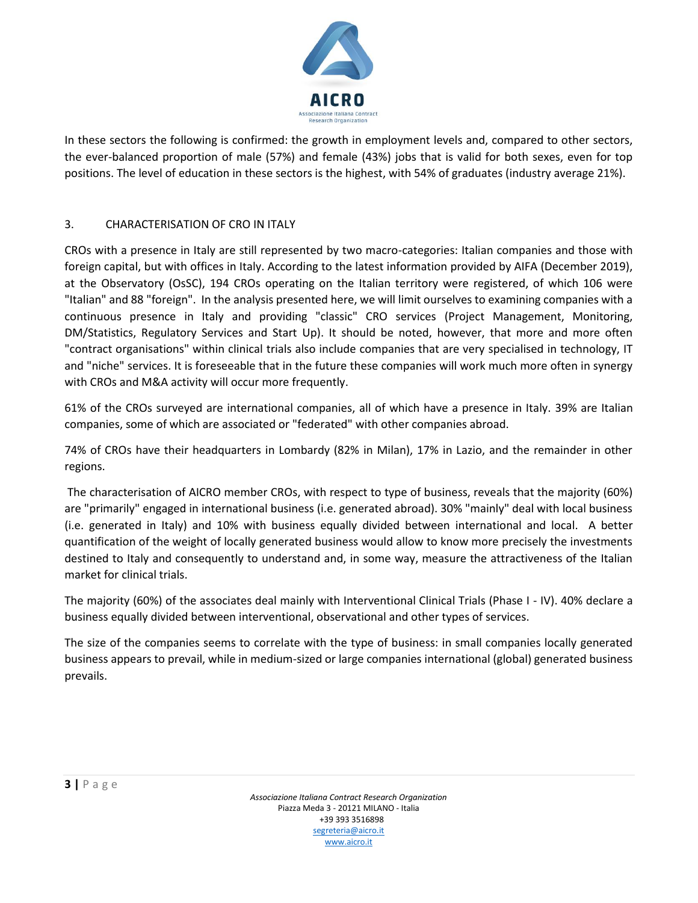

In these sectors the following is confirmed: the growth in employment levels and, compared to other sectors, the ever-balanced proportion of male (57%) and female (43%) jobs that is valid for both sexes, even for top positions. The level of education in these sectors is the highest, with 54% of graduates (industry average 21%).

## 3. CHARACTERISATION OF CRO IN ITALY

CROs with a presence in Italy are still represented by two macro-categories: Italian companies and those with foreign capital, but with offices in Italy. According to the latest information provided by AIFA (December 2019), at the Observatory (OsSC), 194 CROs operating on the Italian territory were registered, of which 106 were "Italian" and 88 "foreign". In the analysis presented here, we will limit ourselves to examining companies with a continuous presence in Italy and providing "classic" CRO services (Project Management, Monitoring, DM/Statistics, Regulatory Services and Start Up). It should be noted, however, that more and more often "contract organisations" within clinical trials also include companies that are very specialised in technology, IT and "niche" services. It is foreseeable that in the future these companies will work much more often in synergy with CROs and M&A activity will occur more frequently.

61% of the CROs surveyed are international companies, all of which have a presence in Italy. 39% are Italian companies, some of which are associated or "federated" with other companies abroad.

74% of CROs have their headquarters in Lombardy (82% in Milan), 17% in Lazio, and the remainder in other regions.

The characterisation of AICRO member CROs, with respect to type of business, reveals that the majority (60%) are "primarily" engaged in international business (i.e. generated abroad). 30% "mainly" deal with local business (i.e. generated in Italy) and 10% with business equally divided between international and local. A better quantification of the weight of locally generated business would allow to know more precisely the investments destined to Italy and consequently to understand and, in some way, measure the attractiveness of the Italian market for clinical trials.

The majority (60%) of the associates deal mainly with Interventional Clinical Trials (Phase I - IV). 40% declare a business equally divided between interventional, observational and other types of services.

The size of the companies seems to correlate with the type of business: in small companies locally generated business appears to prevail, while in medium-sized or large companies international (global) generated business prevails.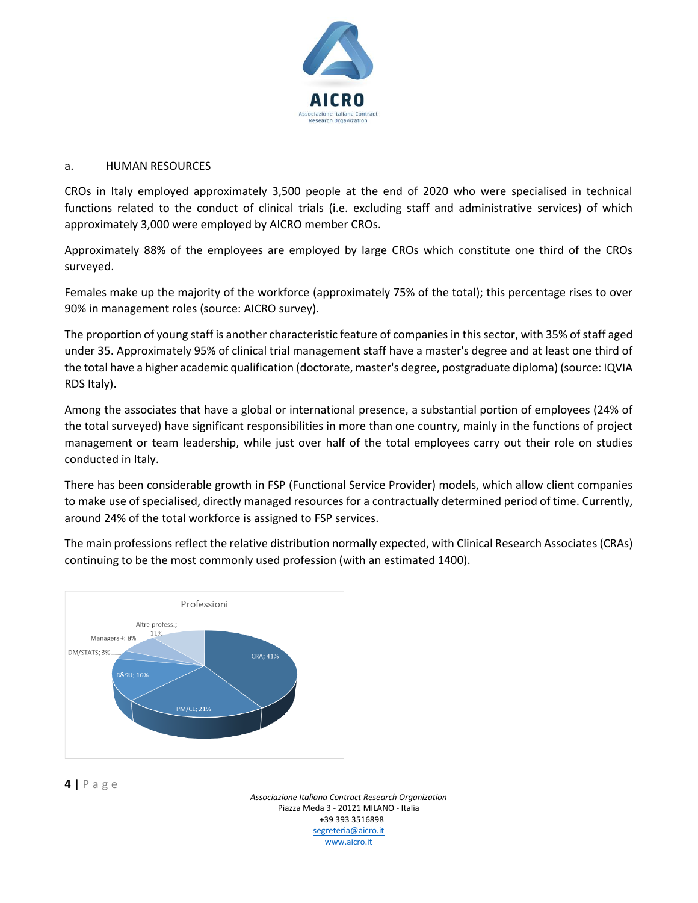

#### a. HUMAN RESOURCES

CROs in Italy employed approximately 3,500 people at the end of 2020 who were specialised in technical functions related to the conduct of clinical trials (i.e. excluding staff and administrative services) of which approximately 3,000 were employed by AICRO member CROs.

Approximately 88% of the employees are employed by large CROs which constitute one third of the CROs surveyed.

Females make up the majority of the workforce (approximately 75% of the total); this percentage rises to over 90% in management roles (source: AICRO survey).

The proportion of young staff is another characteristic feature of companies in this sector, with 35% of staff aged under 35. Approximately 95% of clinical trial management staff have a master's degree and at least one third of the total have a higher academic qualification (doctorate, master's degree, postgraduate diploma) (source: IQVIA RDS Italy).

Among the associates that have a global or international presence, a substantial portion of employees (24% of the total surveyed) have significant responsibilities in more than one country, mainly in the functions of project management or team leadership, while just over half of the total employees carry out their role on studies conducted in Italy.

There has been considerable growth in FSP (Functional Service Provider) models, which allow client companies to make use of specialised, directly managed resources for a contractually determined period of time. Currently, around 24% of the total workforce is assigned to FSP services.

The main professions reflect the relative distribution normally expected, with Clinical Research Associates (CRAs) continuing to be the most commonly used profession (with an estimated 1400).



## **4 |** P a g e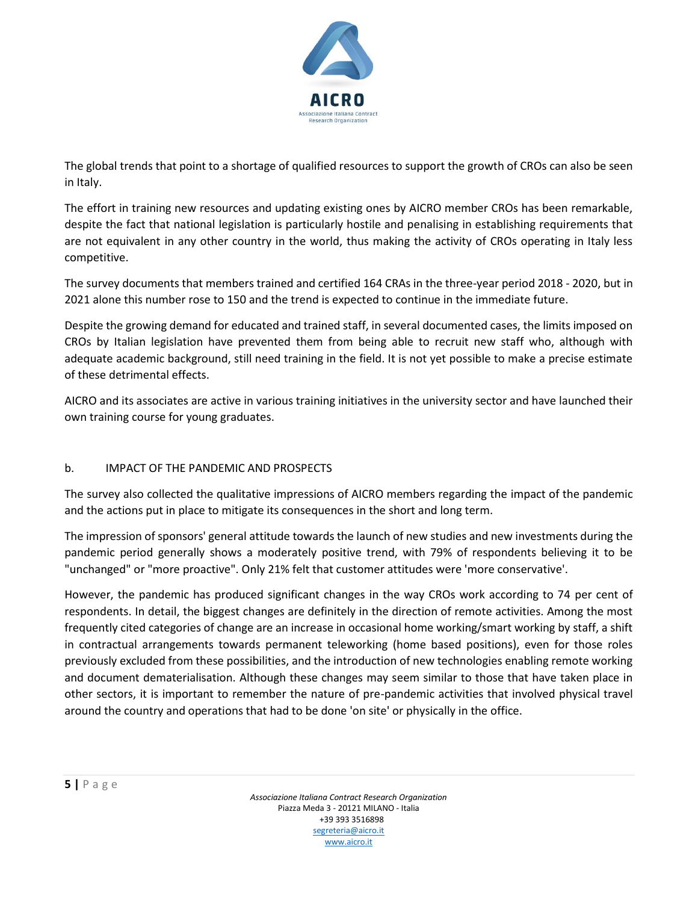

The global trends that point to a shortage of qualified resources to support the growth of CROs can also be seen in Italy.

The effort in training new resources and updating existing ones by AICRO member CROs has been remarkable, despite the fact that national legislation is particularly hostile and penalising in establishing requirements that are not equivalent in any other country in the world, thus making the activity of CROs operating in Italy less competitive.

The survey documents that members trained and certified 164 CRAs in the three-year period 2018 - 2020, but in 2021 alone this number rose to 150 and the trend is expected to continue in the immediate future.

Despite the growing demand for educated and trained staff, in several documented cases, the limits imposed on CROs by Italian legislation have prevented them from being able to recruit new staff who, although with adequate academic background, still need training in the field. It is not yet possible to make a precise estimate of these detrimental effects.

AICRO and its associates are active in various training initiatives in the university sector and have launched their own training course for young graduates.

## b. IMPACT OF THE PANDEMIC AND PROSPECTS

The survey also collected the qualitative impressions of AICRO members regarding the impact of the pandemic and the actions put in place to mitigate its consequences in the short and long term.

The impression of sponsors' general attitude towards the launch of new studies and new investments during the pandemic period generally shows a moderately positive trend, with 79% of respondents believing it to be "unchanged" or "more proactive". Only 21% felt that customer attitudes were 'more conservative'.

However, the pandemic has produced significant changes in the way CROs work according to 74 per cent of respondents. In detail, the biggest changes are definitely in the direction of remote activities. Among the most frequently cited categories of change are an increase in occasional home working/smart working by staff, a shift in contractual arrangements towards permanent teleworking (home based positions), even for those roles previously excluded from these possibilities, and the introduction of new technologies enabling remote working and document dematerialisation. Although these changes may seem similar to those that have taken place in other sectors, it is important to remember the nature of pre-pandemic activities that involved physical travel around the country and operations that had to be done 'on site' or physically in the office.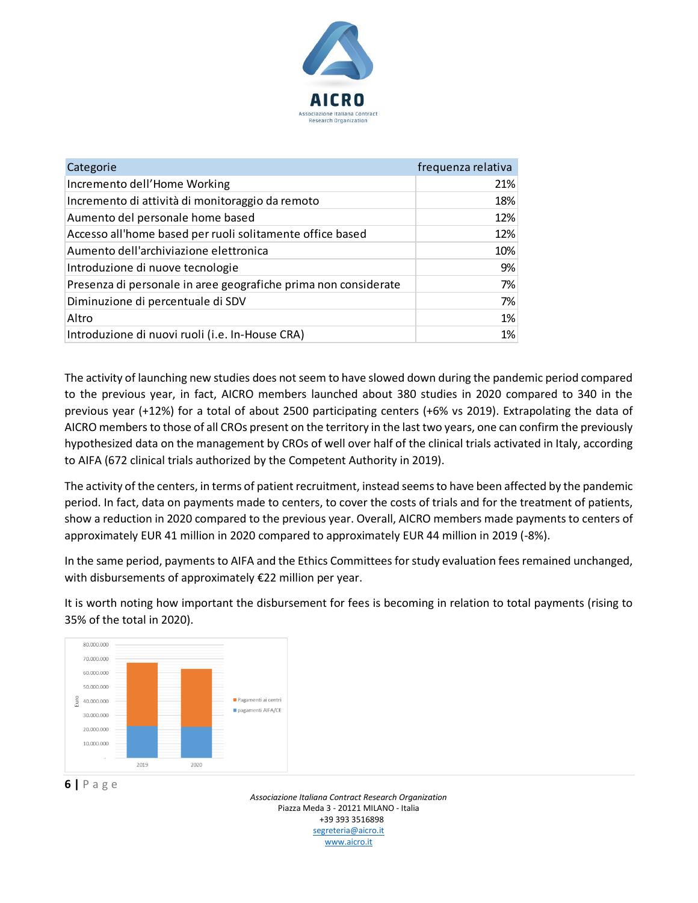

| Categorie                                                       | frequenza relativa |
|-----------------------------------------------------------------|--------------------|
| Incremento dell'Home Working                                    | 21%                |
| Incremento di attività di monitoraggio da remoto                | 18%                |
| Aumento del personale home based                                | 12%                |
| Accesso all'home based per ruoli solitamente office based       | 12%                |
| Aumento dell'archiviazione elettronica                          | 10%                |
| Introduzione di nuove tecnologie                                | 9%                 |
| Presenza di personale in aree geografiche prima non considerate | 7%                 |
| Diminuzione di percentuale di SDV                               | 7%                 |
| Altro                                                           | 1%                 |
| Introduzione di nuovi ruoli (i.e. In-House CRA)                 | 1%                 |

The activity of launching new studies does not seem to have slowed down during the pandemic period compared to the previous year, in fact, AICRO members launched about 380 studies in 2020 compared to 340 in the previous year (+12%) for a total of about 2500 participating centers (+6% vs 2019). Extrapolating the data of AICRO members to those of all CROs present on the territory in the last two years, one can confirm the previously hypothesized data on the management by CROs of well over half of the clinical trials activated in Italy, according to AIFA (672 clinical trials authorized by the Competent Authority in 2019).

The activity of the centers, in terms of patient recruitment, instead seems to have been affected by the pandemic period. In fact, data on payments made to centers, to cover the costs of trials and for the treatment of patients, show a reduction in 2020 compared to the previous year. Overall, AICRO members made payments to centers of approximately EUR 41 million in 2020 compared to approximately EUR 44 million in 2019 (-8%).

In the same period, payments to AIFA and the Ethics Committees for study evaluation fees remained unchanged, with disbursements of approximately €22 million per year.

It is worth noting how important the disbursement for fees is becoming in relation to total payments (rising to 35% of the total in 2020).



## **6 |** P a g e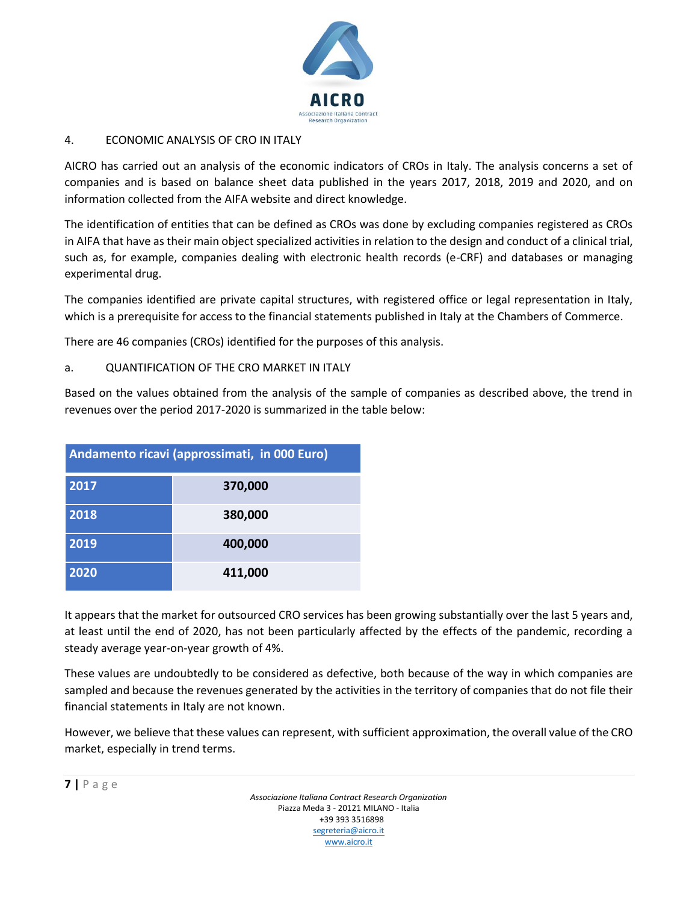

# 4. ECONOMIC ANALYSIS OF CRO IN ITALY

AICRO has carried out an analysis of the economic indicators of CROs in Italy. The analysis concerns a set of companies and is based on balance sheet data published in the years 2017, 2018, 2019 and 2020, and on information collected from the AIFA website and direct knowledge.

The identification of entities that can be defined as CROs was done by excluding companies registered as CROs in AIFA that have as their main object specialized activities in relation to the design and conduct of a clinical trial, such as, for example, companies dealing with electronic health records (e-CRF) and databases or managing experimental drug.

The companies identified are private capital structures, with registered office or legal representation in Italy, which is a prerequisite for access to the financial statements published in Italy at the Chambers of Commerce.

There are 46 companies (CROs) identified for the purposes of this analysis.

a. QUANTIFICATION OF THE CRO MARKET IN ITALY

Based on the values obtained from the analysis of the sample of companies as described above, the trend in revenues over the period 2017-2020 is summarized in the table below:

| Andamento ricavi (approssimati, in 000 Euro) |         |  |  |  |
|----------------------------------------------|---------|--|--|--|
| 2017                                         | 370,000 |  |  |  |
| 2018                                         | 380,000 |  |  |  |
| 2019                                         | 400,000 |  |  |  |
| 2020                                         | 411,000 |  |  |  |

It appears that the market for outsourced CRO services has been growing substantially over the last 5 years and, at least until the end of 2020, has not been particularly affected by the effects of the pandemic, recording a steady average year-on-year growth of 4%.

These values are undoubtedly to be considered as defective, both because of the way in which companies are sampled and because the revenues generated by the activities in the territory of companies that do not file their financial statements in Italy are not known.

However, we believe that these values can represent, with sufficient approximation, the overall value of the CRO market, especially in trend terms.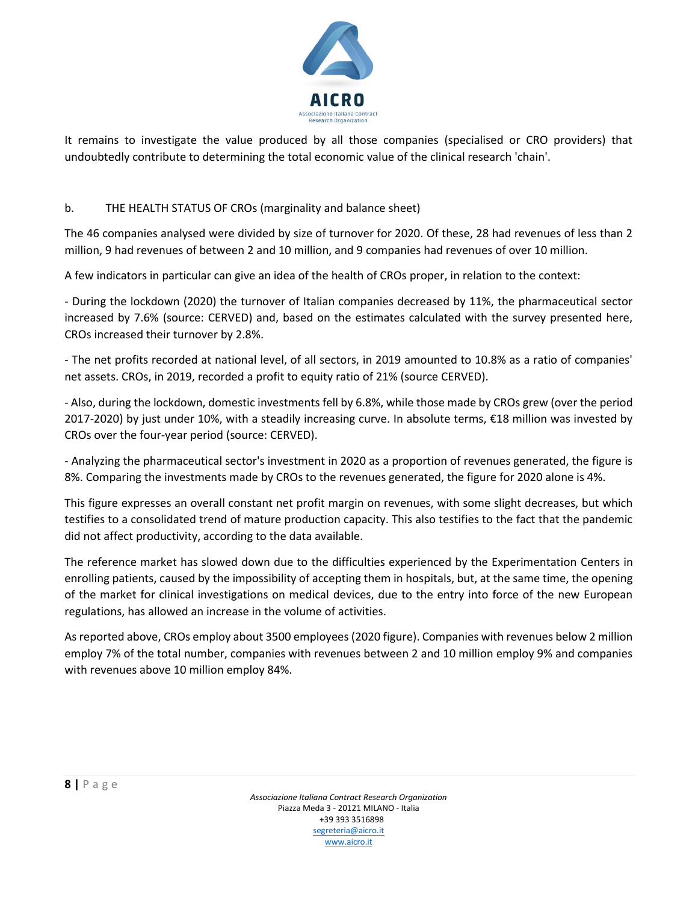

It remains to investigate the value produced by all those companies (specialised or CRO providers) that undoubtedly contribute to determining the total economic value of the clinical research 'chain'.

## b. THE HEALTH STATUS OF CROs (marginality and balance sheet)

The 46 companies analysed were divided by size of turnover for 2020. Of these, 28 had revenues of less than 2 million, 9 had revenues of between 2 and 10 million, and 9 companies had revenues of over 10 million.

A few indicators in particular can give an idea of the health of CROs proper, in relation to the context:

- During the lockdown (2020) the turnover of Italian companies decreased by 11%, the pharmaceutical sector increased by 7.6% (source: CERVED) and, based on the estimates calculated with the survey presented here, CROs increased their turnover by 2.8%.

- The net profits recorded at national level, of all sectors, in 2019 amounted to 10.8% as a ratio of companies' net assets. CROs, in 2019, recorded a profit to equity ratio of 21% (source CERVED).

- Also, during the lockdown, domestic investments fell by 6.8%, while those made by CROs grew (over the period 2017-2020) by just under 10%, with a steadily increasing curve. In absolute terms, €18 million was invested by CROs over the four-year period (source: CERVED).

- Analyzing the pharmaceutical sector's investment in 2020 as a proportion of revenues generated, the figure is 8%. Comparing the investments made by CROs to the revenues generated, the figure for 2020 alone is 4%.

This figure expresses an overall constant net profit margin on revenues, with some slight decreases, but which testifies to a consolidated trend of mature production capacity. This also testifies to the fact that the pandemic did not affect productivity, according to the data available.

The reference market has slowed down due to the difficulties experienced by the Experimentation Centers in enrolling patients, caused by the impossibility of accepting them in hospitals, but, at the same time, the opening of the market for clinical investigations on medical devices, due to the entry into force of the new European regulations, has allowed an increase in the volume of activities.

As reported above, CROs employ about 3500 employees (2020 figure). Companies with revenues below 2 million employ 7% of the total number, companies with revenues between 2 and 10 million employ 9% and companies with revenues above 10 million employ 84%.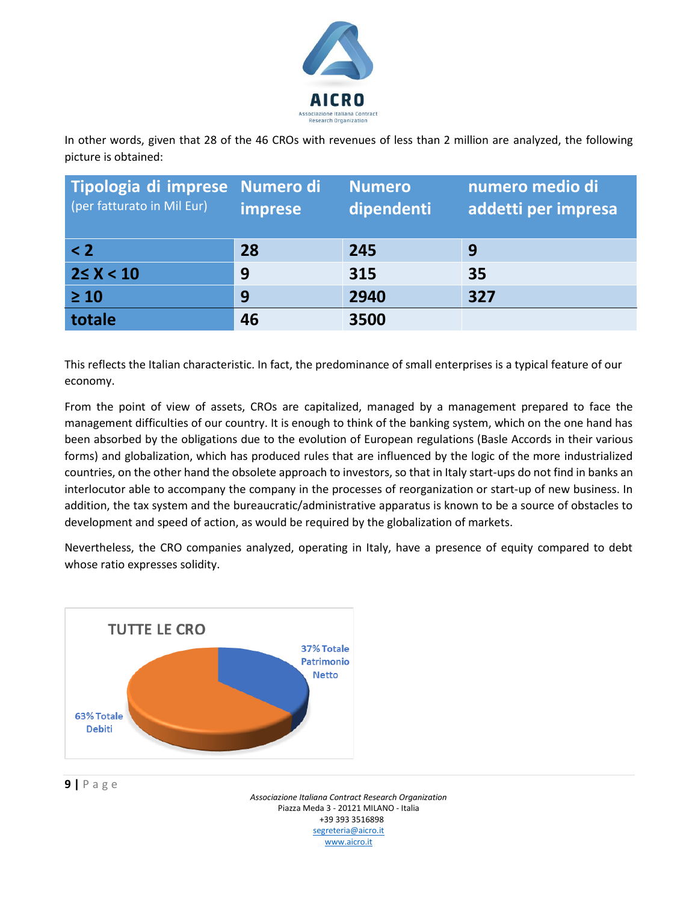

In other words, given that 28 of the 46 CROs with revenues of less than 2 million are analyzed, the following picture is obtained:

| Tipologia di imprese Numero di<br>(per fatturato in Mil Eur) | imprese | <b>Numero</b><br>dipendenti | numero medio di<br>addetti per impresa |
|--------------------------------------------------------------|---------|-----------------------------|----------------------------------------|
| $\leq$ 2                                                     | 28      | 245                         | 9                                      |
| $2 \le X < 10$                                               | 9       | 315                         | 35                                     |
| $\geq 10$                                                    | 9       | 2940                        | 327                                    |
| totale                                                       | 46      | 3500                        |                                        |

This reflects the Italian characteristic. In fact, the predominance of small enterprises is a typical feature of our economy.

From the point of view of assets, CROs are capitalized, managed by a management prepared to face the management difficulties of our country. It is enough to think of the banking system, which on the one hand has been absorbed by the obligations due to the evolution of European regulations (Basle Accords in their various forms) and globalization, which has produced rules that are influenced by the logic of the more industrialized countries, on the other hand the obsolete approach to investors, so that in Italy start-ups do not find in banks an interlocutor able to accompany the company in the processes of reorganization or start-up of new business. In addition, the tax system and the bureaucratic/administrative apparatus is known to be a source of obstacles to development and speed of action, as would be required by the globalization of markets.

Nevertheless, the CRO companies analyzed, operating in Italy, have a presence of equity compared to debt whose ratio expresses solidity.



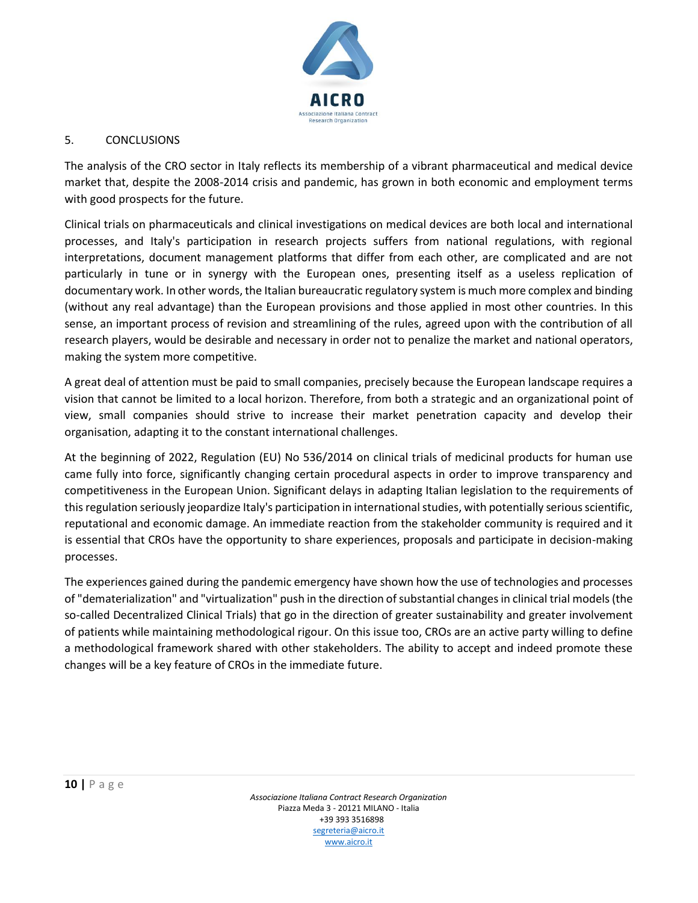

#### 5. CONCLUSIONS

The analysis of the CRO sector in Italy reflects its membership of a vibrant pharmaceutical and medical device market that, despite the 2008-2014 crisis and pandemic, has grown in both economic and employment terms with good prospects for the future.

Clinical trials on pharmaceuticals and clinical investigations on medical devices are both local and international processes, and Italy's participation in research projects suffers from national regulations, with regional interpretations, document management platforms that differ from each other, are complicated and are not particularly in tune or in synergy with the European ones, presenting itself as a useless replication of documentary work. In other words, the Italian bureaucratic regulatory system is much more complex and binding (without any real advantage) than the European provisions and those applied in most other countries. In this sense, an important process of revision and streamlining of the rules, agreed upon with the contribution of all research players, would be desirable and necessary in order not to penalize the market and national operators, making the system more competitive.

A great deal of attention must be paid to small companies, precisely because the European landscape requires a vision that cannot be limited to a local horizon. Therefore, from both a strategic and an organizational point of view, small companies should strive to increase their market penetration capacity and develop their organisation, adapting it to the constant international challenges.

At the beginning of 2022, Regulation (EU) No 536/2014 on clinical trials of medicinal products for human use came fully into force, significantly changing certain procedural aspects in order to improve transparency and competitiveness in the European Union. Significant delays in adapting Italian legislation to the requirements of this regulation seriously jeopardize Italy's participation in international studies, with potentially serious scientific, reputational and economic damage. An immediate reaction from the stakeholder community is required and it is essential that CROs have the opportunity to share experiences, proposals and participate in decision-making processes.

The experiences gained during the pandemic emergency have shown how the use of technologies and processes of "dematerialization" and "virtualization" push in the direction of substantial changes in clinical trial models (the so-called Decentralized Clinical Trials) that go in the direction of greater sustainability and greater involvement of patients while maintaining methodological rigour. On this issue too, CROs are an active party willing to define a methodological framework shared with other stakeholders. The ability to accept and indeed promote these changes will be a key feature of CROs in the immediate future.